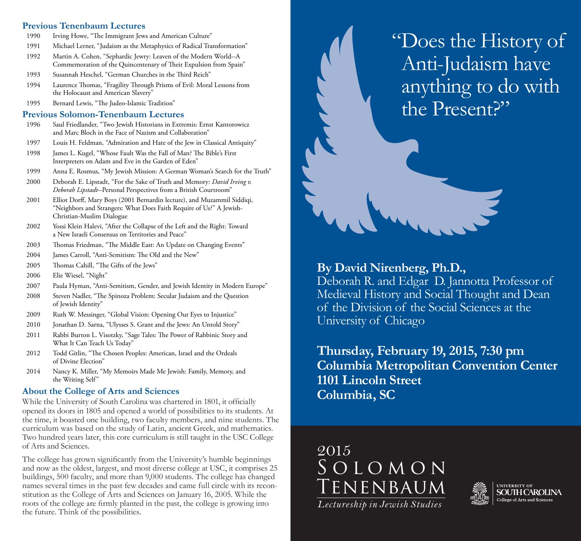#### **Previous Tenenbaum Lectures**

- 1990 Irving Howe, "The Immigrant Jews and American Culture"
- 1991 Michael Lerner, "Judaism as the Metaphysics of Radical Transformation"
- 1992 Martin A. Cohen, "Sephardic Jewry: Leaven of the Modern World--A Commemoration of the Quincentenary of Their Expulsion from Spain"
- 1993 Susannah Heschel, "German Churches in the Third Reich"
- 1994 Laurence Thomas, "Fragility Through Prisms of Evil: Moral Lessons from the Holocaust and American Slavery"
- 1995 Bernard Lewis, "The Judeo-Islamic Tradition"

#### **Previous Solomon-Tenenbaum Lectures**

- 1996 Saul Friedlander, "Two Jewish Historians in Extremis: Ernst Kantorowicz and Marc Bloch in the Face of Nazism and Collaboration"
- 1997 Louis H. Feldman, "Admiration and Hate of the Jew in Classical Antiquity"
- 1998 James L. Kugel, "Whose Fault Was the Fall of Man? The Bible's First Interpreters on Adam and Eve in the Garden of Eden"
- 1999 Anna E. Rosmus, "My Jewish Mission: A German Woman's Search for the Truth"
- 2000 Deborah E. Lipstadt, "For the Sake of Truth and Memory: *David Irving v. Deborah Lipstadt*--Personal Perspectives from a British Courtroom"
- 2001 Elliot Dorff, Mary Boys (2001 Bernardin lecture), and Muzammil Siddiqi, "Neighbors and Strangers: What Does Faith Require of Us?" A Jewish- Christian-Muslim Dialogue
- 2002 Yossi Klein Halevi, "After the Collapse of the Left and the Right: Toward a New Israeli Consensus on Territories and Peace"
- 2003 Thomas Friedman, "The Middle East: An Update on Changing Events"
- 2004 James Carroll, "Anti-Semitism: The Old and the New"
- 2005 Thomas Cahill, "The Gifts of the Jews"
- 2006 Elie Wiesel, "Night"
- 2007 Paula Hyman, "Anti-Semitism, Gender, and Jewish Identity in Modern Europe"
- 2008 Steven Nadler, "The Spinoza Problem: Secular Judaism and the Question of Jewish Identity"
- 2009 Ruth W. Messinger, "Global Vision: Opening Our Eyes to Injustice"
- 2010 Jonathan D. Sarna, "Ulysses S. Grant and the Jews: An Untold Story"
- 2011 Rabbi Burton L. Visotzky, "Sage Tales: The Power of Rabbinic Story and What It Can Teach Us Today"
- 2012 Todd Gitlin, "The Chosen Peoples: American, Israel and the Ordeals of Divine Election"
- 2014 Nancy K. Miller, "My Memoirs Made Me Jewish: Family, Memory, and the Writing Self"

#### **About the College of Arts and Sciences**

While the University of South Carolina was chartered in 1801, it officially opened its doors in 1805 and opened a world of possibilities to its students. At the time, it boasted one building, two faculty members, and nine students. The curriculum was based on the study of Latin, ancient Greek, and mathematics. Two hundred years later, this core curriculum is still taught in the USC College of Arts and Sciences.

The college has grown significantly from the University's humble beginnings and now as the oldest, largest, and most diverse college at USC, it comprises 25 buildings, 500 faculty, and more than 9,000 students. The college has changed names several times in the past few decades and came full circle with its reconstitution as the College of Arts and Sciences on January 16, 2005. While the roots of the college are firmly planted in the past, the college is growing into the future. Think of the possibilities.

"Does the History of Anti-Judaism have anything to do with the Present?"

### **By David Nirenberg, Ph.D.,**

Deborah R. and Edgar D. Jannotta Professor of Medieval History and Social Thought and Dean of the Division of the Social Sciences at the University of Chicago

**Thursday, February 19, 2015, 7:30 pm Columbia Metropolitan Convention Center 1101 Lincoln Street Columbia, SC** 

Solomon Tenenbaum *Lectureship in Jewish Studies* 2015